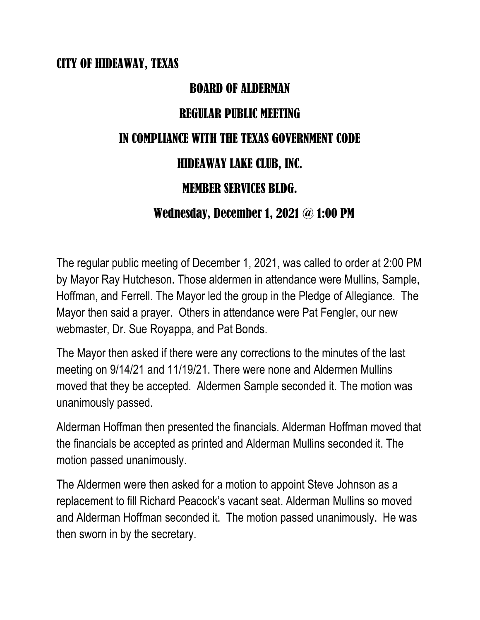## CITY OF HIDEAWAY, TEXAS

# BOARD OF ALDERMAN

## REGULAR PUBLIC MEETING

#### IN COMPLIANCE WITH THE TEXAS GOVERNMENT CODE

# HIDEAWAY LAKE CLUB, INC.

## MEMBER SERVICES BLDG.

## Wednesday, December 1, 2021 @ 1:00 PM

The regular public meeting of December 1, 2021, was called to order at 2:00 PM by Mayor Ray Hutcheson. Those aldermen in attendance were Mullins, Sample, Hoffman, and Ferrell. The Mayor led the group in the Pledge of Allegiance. The Mayor then said a prayer. Others in attendance were Pat Fengler, our new webmaster, Dr. Sue Royappa, and Pat Bonds.

The Mayor then asked if there were any corrections to the minutes of the last meeting on 9/14/21 and 11/19/21. There were none and Aldermen Mullins moved that they be accepted. Aldermen Sample seconded it. The motion was unanimously passed.

Alderman Hoffman then presented the financials. Alderman Hoffman moved that the financials be accepted as printed and Alderman Mullins seconded it. The motion passed unanimously.

The Aldermen were then asked for a motion to appoint Steve Johnson as a replacement to fill Richard Peacock's vacant seat. Alderman Mullins so moved and Alderman Hoffman seconded it. The motion passed unanimously. He was then sworn in by the secretary.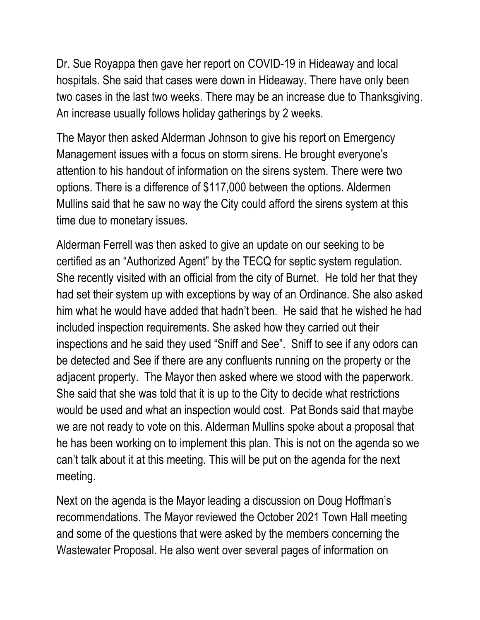Dr. Sue Royappa then gave her report on COVID-19 in Hideaway and local hospitals. She said that cases were down in Hideaway. There have only been two cases in the last two weeks. There may be an increase due to Thanksgiving. An increase usually follows holiday gatherings by 2 weeks.

The Mayor then asked Alderman Johnson to give his report on Emergency Management issues with a focus on storm sirens. He brought everyone's attention to his handout of information on the sirens system. There were two options. There is a difference of \$117,000 between the options. Aldermen Mullins said that he saw no way the City could afford the sirens system at this time due to monetary issues.

Alderman Ferrell was then asked to give an update on our seeking to be certified as an "Authorized Agent" by the TECQ for septic system regulation. She recently visited with an official from the city of Burnet. He told her that they had set their system up with exceptions by way of an Ordinance. She also asked him what he would have added that hadn't been. He said that he wished he had included inspection requirements. She asked how they carried out their inspections and he said they used "Sniff and See". Sniff to see if any odors can be detected and See if there are any confluents running on the property or the adjacent property. The Mayor then asked where we stood with the paperwork. She said that she was told that it is up to the City to decide what restrictions would be used and what an inspection would cost. Pat Bonds said that maybe we are not ready to vote on this. Alderman Mullins spoke about a proposal that he has been working on to implement this plan. This is not on the agenda so we can't talk about it at this meeting. This will be put on the agenda for the next meeting.

Next on the agenda is the Mayor leading a discussion on Doug Hoffman's recommendations. The Mayor reviewed the October 2021 Town Hall meeting and some of the questions that were asked by the members concerning the Wastewater Proposal. He also went over several pages of information on